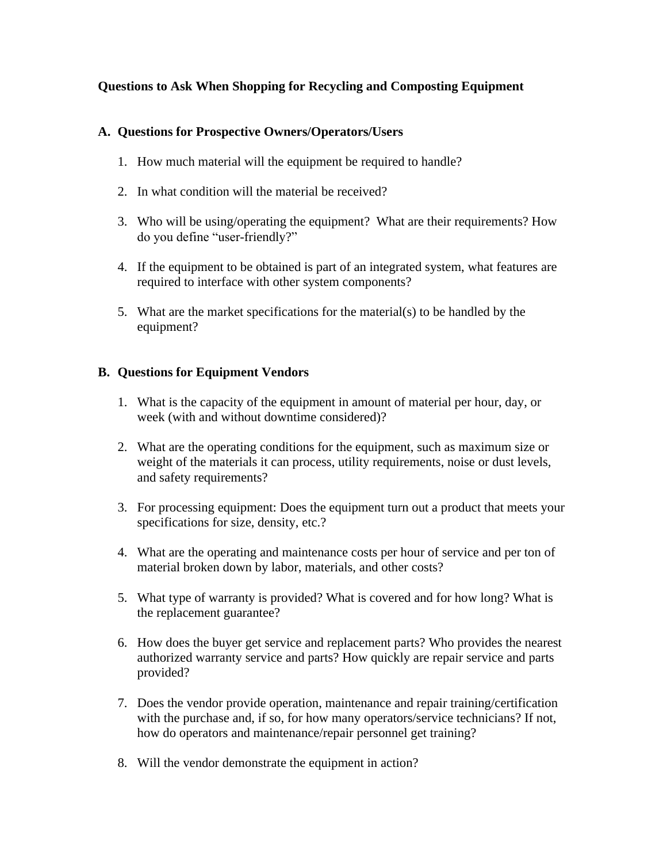## **Questions to Ask When Shopping for Recycling and Composting Equipment**

## **A. Questions for Prospective Owners/Operators/Users**

- 1. How much material will the equipment be required to handle?
- 2. In what condition will the material be received?
- 3. Who will be using/operating the equipment? What are their requirements? How do you define "user-friendly?"
- 4. If the equipment to be obtained is part of an integrated system, what features are required to interface with other system components?
- 5. What are the market specifications for the material(s) to be handled by the equipment?

## **B. Questions for Equipment Vendors**

- 1. What is the capacity of the equipment in amount of material per hour, day, or week (with and without downtime considered)?
- 2. What are the operating conditions for the equipment, such as maximum size or weight of the materials it can process, utility requirements, noise or dust levels, and safety requirements?
- 3. For processing equipment: Does the equipment turn out a product that meets your specifications for size, density, etc.?
- 4. What are the operating and maintenance costs per hour of service and per ton of material broken down by labor, materials, and other costs?
- 5. What type of warranty is provided? What is covered and for how long? What is the replacement guarantee?
- 6. How does the buyer get service and replacement parts? Who provides the nearest authorized warranty service and parts? How quickly are repair service and parts provided?
- 7. Does the vendor provide operation, maintenance and repair training/certification with the purchase and, if so, for how many operators/service technicians? If not, how do operators and maintenance/repair personnel get training?
- 8. Will the vendor demonstrate the equipment in action?